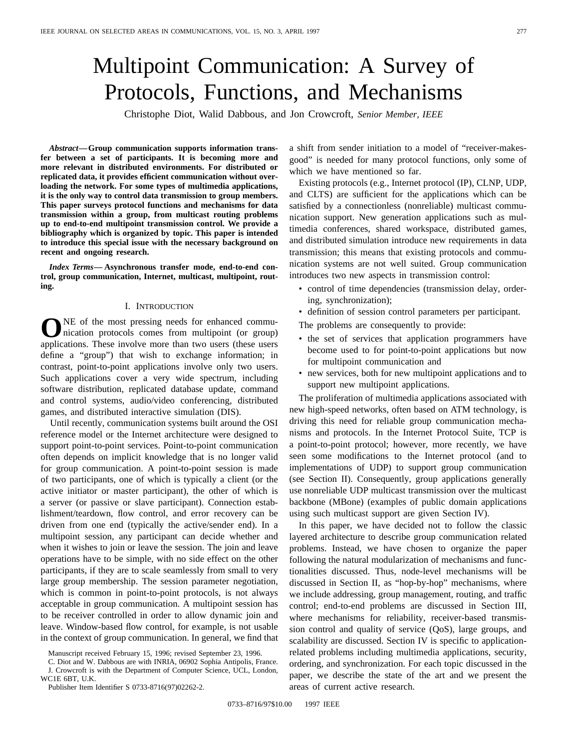# Multipoint Communication: A Survey of Protocols, Functions, and Mechanisms

Christophe Diot, Walid Dabbous, and Jon Crowcroft, *Senior Member, IEEE*

*Abstract—***Group communication supports information transfer between a set of participants. It is becoming more and more relevant in distributed environments. For distributed or replicated data, it provides efficient communication without overloading the network. For some types of multimedia applications, it is the only way to control data transmission to group members. This paper surveys protocol functions and mechanisms for data transmission within a group, from multicast routing problems up to end-to-end multipoint transmission control. We provide a bibliography which is organized by topic. This paper is intended to introduce this special issue with the necessary background on recent and ongoing research.**

*Index Terms—* **Asynchronous transfer mode, end-to-end control, group communication, Internet, multicast, multipoint, routing.**

# I. INTRODUCTION

**O**NE of the most pressing needs for enhanced commu-<br>nication protocols comes from multipoint (or group) applications. These involve more than two users (these users define a "group") that wish to exchange information; in contrast, point-to-point applications involve only two users. Such applications cover a very wide spectrum, including software distribution, replicated database update, command and control systems, audio/video conferencing, distributed games, and distributed interactive simulation (DIS).

Until recently, communication systems built around the OSI reference model or the Internet architecture were designed to support point-to-point services. Point-to-point communication often depends on implicit knowledge that is no longer valid for group communication. A point-to-point session is made of two participants, one of which is typically a client (or the active initiator or master participant), the other of which is a server (or passive or slave participant). Connection establishment/teardown, flow control, and error recovery can be driven from one end (typically the active/sender end). In a multipoint session, any participant can decide whether and when it wishes to join or leave the session. The join and leave operations have to be simple, with no side effect on the other participants, if they are to scale seamlessly from small to very large group membership. The session parameter negotiation, which is common in point-to-point protocols, is not always acceptable in group communication. A multipoint session has to be receiver controlled in order to allow dynamic join and leave. Window-based flow control, for example, is not usable in the context of group communication. In general, we find that

C. Diot and W. Dabbous are with INRIA, 06902 Sophia Antipolis, France. J. Crowcroft is with the Department of Computer Science, UCL, London, WC1E 6BT, U.K.

Publisher Item Identifier S 0733-8716(97)02262-2.

a shift from sender initiation to a model of "receiver-makesgood" is needed for many protocol functions, only some of which we have mentioned so far.

Existing protocols (e.g., Internet protocol (IP), CLNP, UDP, and CLTS) are sufficient for the applications which can be satisfied by a connectionless (nonreliable) multicast communication support. New generation applications such as multimedia conferences, shared workspace, distributed games, and distributed simulation introduce new requirements in data transmission; this means that existing protocols and communication systems are not well suited. Group communication introduces two new aspects in transmission control:

- control of time dependencies (transmission delay, ordering, synchronization);
- definition of session control parameters per participant.
- The problems are consequently to provide:
- the set of services that application programmers have become used to for point-to-point applications but now for multipoint communication and
- new services, both for new multipoint applications and to support new multipoint applications.

The proliferation of multimedia applications associated with new high-speed networks, often based on ATM technology, is driving this need for reliable group communication mechanisms and protocols. In the Internet Protocol Suite, TCP is a point-to-point protocol; however, more recently, we have seen some modifications to the Internet protocol (and to implementations of UDP) to support group communication (see Section II). Consequently, group applications generally use nonreliable UDP multicast transmission over the multicast backbone (MBone) (examples of public domain applications using such multicast support are given Section IV).

In this paper, we have decided not to follow the classic layered architecture to describe group communication related problems. Instead, we have chosen to organize the paper following the natural modularization of mechanisms and functionalities discussed. Thus, node-level mechanisms will be discussed in Section II, as "hop-by-hop" mechanisms, where we include addressing, group management, routing, and traffic control; end-to-end problems are discussed in Section III, where mechanisms for reliability, receiver-based transmission control and quality of service (QoS), large groups, and scalability are discussed. Section IV is specific to applicationrelated problems including multimedia applications, security, ordering, and synchronization. For each topic discussed in the paper, we describe the state of the art and we present the areas of current active research.

Manuscript received February 15, 1996; revised September 23, 1996.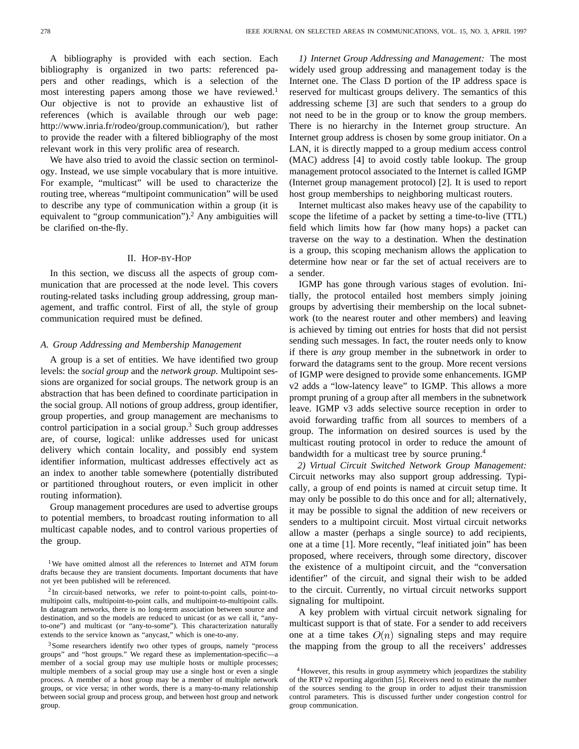A bibliography is provided with each section. Each bibliography is organized in two parts: referenced papers and other readings, which is a selection of the most interesting papers among those we have reviewed.<sup>1</sup> Our objective is not to provide an exhaustive list of references (which is available through our web page: http://www.inria.fr/rodeo/group.communication/), but rather to provide the reader with a filtered bibliography of the most relevant work in this very prolific area of research.

We have also tried to avoid the classic section on terminology. Instead, we use simple vocabulary that is more intuitive. For example, "multicast" will be used to characterize the routing tree, whereas "multipoint communication" will be used to describe any type of communication within a group (it is equivalent to "group communication").<sup>2</sup> Any ambiguities will be clarified on-the-fly.

# II. HOP-BY-HOP

In this section, we discuss all the aspects of group communication that are processed at the node level. This covers routing-related tasks including group addressing, group management, and traffic control. First of all, the style of group communication required must be defined.

# *A. Group Addressing and Membership Management*

A group is a set of entities. We have identified two group levels: the *social group* and the *network group.* Multipoint sessions are organized for social groups. The network group is an abstraction that has been defined to coordinate participation in the social group. All notions of group address, group identifier, group properties, and group management are mechanisms to control participation in a social group.<sup>3</sup> Such group addresses are, of course, logical: unlike addresses used for unicast delivery which contain locality, and possibly end system identifier information, multicast addresses effectively act as an index to another table somewhere (potentially distributed or partitioned throughout routers, or even implicit in other routing information).

Group management procedures are used to advertise groups to potential members, to broadcast routing information to all multicast capable nodes, and to control various properties of the group.

*1) Internet Group Addressing and Management:* The most widely used group addressing and management today is the Internet one. The Class D portion of the IP address space is reserved for multicast groups delivery. The semantics of this addressing scheme [3] are such that senders to a group do not need to be in the group or to know the group members. There is no hierarchy in the Internet group structure. An Internet group address is chosen by some group initiator. On a LAN, it is directly mapped to a group medium access control (MAC) address [4] to avoid costly table lookup. The group management protocol associated to the Internet is called IGMP (Internet group management protocol) [2]. It is used to report host group memberships to neighboring multicast routers.

Internet multicast also makes heavy use of the capability to scope the lifetime of a packet by setting a time-to-live (TTL) field which limits how far (how many hops) a packet can traverse on the way to a destination. When the destination is a group, this scoping mechanism allows the application to determine how near or far the set of actual receivers are to a sender.

IGMP has gone through various stages of evolution. Initially, the protocol entailed host members simply joining groups by advertising their membership on the local subnetwork (to the nearest router and other members) and leaving is achieved by timing out entries for hosts that did not persist sending such messages. In fact, the router needs only to know if there is *any* group member in the subnetwork in order to forward the datagrams sent to the group. More recent versions of IGMP were designed to provide some enhancements. IGMP v2 adds a "low-latency leave" to IGMP. This allows a more prompt pruning of a group after all members in the subnetwork leave. IGMP v3 adds selective source reception in order to avoid forwarding traffic from all sources to members of a group. The information on desired sources is used by the multicast routing protocol in order to reduce the amount of bandwidth for a multicast tree by source pruning.<sup>4</sup>

*2) Virtual Circuit Switched Network Group Management:* Circuit networks may also support group addressing. Typically, a group of end points is named at circuit setup time. It may only be possible to do this once and for all; alternatively, it may be possible to signal the addition of new receivers or senders to a multipoint circuit. Most virtual circuit networks allow a master (perhaps a single source) to add recipients, one at a time [1]. More recently, "leaf initiated join" has been proposed, where receivers, through some directory, discover the existence of a multipoint circuit, and the "conversation identifier" of the circuit, and signal their wish to be added to the circuit. Currently, no virtual circuit networks support signaling for multipoint.

A key problem with virtual circuit network signaling for multicast support is that of state. For a sender to add receivers one at a time takes  $O(n)$  signaling steps and may require the mapping from the group to all the receivers' addresses

<sup>&</sup>lt;sup>1</sup>We have omitted almost all the references to Internet and ATM forum drafts because they are transient documents. Important documents that have not yet been published will be referenced.

<sup>2</sup> In circuit-based networks, we refer to point-to-point calls, point-tomultipoint calls, multipoint-to-point calls, and multipoint-to-multipoint calls. In datagram networks, there is no long-term association between source and destination, and so the models are reduced to unicast (or as we call it, "anyto-one") and multicast (or "any-to-some"). This characterization naturally extends to the service known as "anycast," which is one-to-any.

<sup>&</sup>lt;sup>3</sup> Some researchers identify two other types of groups, namely "process groups" and "host groups." We regard these as implementation-specific—a member of a social group may use multiple hosts or multiple processes; multiple members of a social group may use a single host or even a single process. A member of a host group may be a member of multiple network groups, or vice versa; in other words, there is a many-to-many relationship between social group and process group, and between host group and network group.

<sup>&</sup>lt;sup>4</sup>However, this results in group asymmetry which jeopardizes the stability of the RTP v2 reporting algorithm [5]. Receivers need to estimate the number of the sources sending to the group in order to adjust their transmission control parameters. This is discussed further under congestion control for group communication.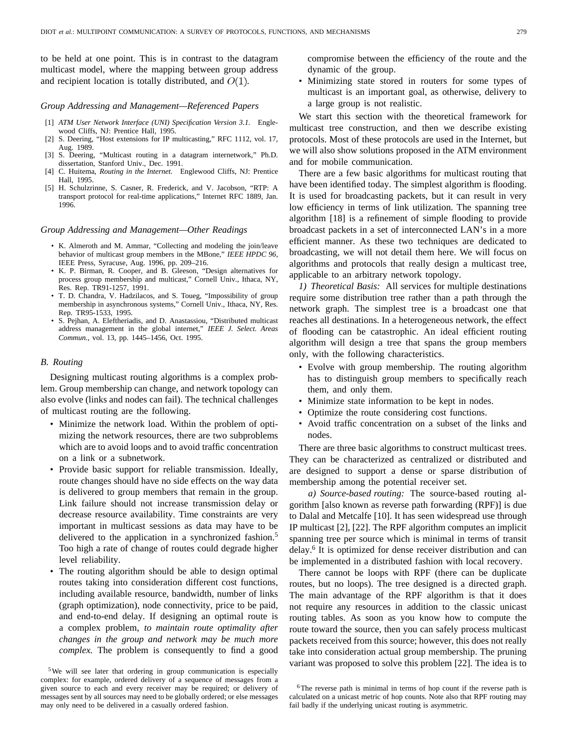to be held at one point. This is in contrast to the datagram multicast model, where the mapping between group address and recipient location is totally distributed, and  $O(1)$ .

#### *Group Addressing and Management—Referenced Papers*

- [1] *ATM User Network Interface (UNI) Specification Version 3.1.* Englewood Cliffs, NJ: Prentice Hall, 1995.
- [2] S. Deering, "Host extensions for IP multicasting," RFC 1112, vol. 17, Aug. 1989.
- [3] S. Deering, "Multicast routing in a datagram internetwork," Ph.D. dissertation, Stanford Univ., Dec. 1991.
- [4] C. Huitema, *Routing in the Internet.* Englewood Cliffs, NJ: Prentice Hall, 1995.
- [5] H. Schulzrinne, S. Casner, R. Frederick, and V. Jacobson, "RTP: A transport protocol for real-time applications," Internet RFC 1889, Jan. 1996.

#### *Group Addressing and Management—Other Readings*

- K. Almeroth and M. Ammar, "Collecting and modeling the join/leave behavior of multicast group members in the MBone," *IEEE HPDC 96,* IEEE Press, Syracuse, Aug. 1996, pp. 209–216.
- K. P. Birman, R. Cooper, and B. Gleeson, "Design alternatives for process group membership and multicast," Cornell Univ., Ithaca, NY, Res. Rep. TR91-1257, 1991.
- T. D. Chandra, V. Hadzilacos, and S. Toueg, "Impossibility of group membership in asynchronous systems," Cornell Univ., Ithaca, NY, Res. Rep. TR95-1533, 1995.
- S. Pejhan, A. Eleftheriadis, and D. Anastassiou, "Distributed multicast address management in the global internet," *IEEE J. Select. Areas Commun.*, vol. 13, pp. 1445–1456, Oct. 1995.

# *B. Routing*

Designing multicast routing algorithms is a complex problem. Group membership can change, and network topology can also evolve (links and nodes can fail). The technical challenges of multicast routing are the following.

- Minimize the network load. Within the problem of optimizing the network resources, there are two subproblems which are to avoid loops and to avoid traffic concentration on a link or a subnetwork.
- Provide basic support for reliable transmission. Ideally, route changes should have no side effects on the way data is delivered to group members that remain in the group. Link failure should not increase transmission delay or decrease resource availability. Time constraints are very important in multicast sessions as data may have to be delivered to the application in a synchronized fashion.<sup>5</sup> Too high a rate of change of routes could degrade higher level reliability.
- The routing algorithm should be able to design optimal routes taking into consideration different cost functions, including available resource, bandwidth, number of links (graph optimization), node connectivity, price to be paid, and end-to-end delay. If designing an optimal route is a complex problem, *to maintain route optimality after changes in the group and network may be much more complex.* The problem is consequently to find a good

compromise between the efficiency of the route and the dynamic of the group.

• Minimizing state stored in routers for some types of multicast is an important goal, as otherwise, delivery to a large group is not realistic.

We start this section with the theoretical framework for multicast tree construction, and then we describe existing protocols. Most of these protocols are used in the Internet, but we will also show solutions proposed in the ATM environment and for mobile communication.

There are a few basic algorithms for multicast routing that have been identified today. The simplest algorithm is flooding. It is used for broadcasting packets, but it can result in very low efficiency in terms of link utilization. The spanning tree algorithm [18] is a refinement of simple flooding to provide broadcast packets in a set of interconnected LAN's in a more efficient manner. As these two techniques are dedicated to broadcasting, we will not detail them here. We will focus on algorithms and protocols that really design a multicast tree, applicable to an arbitrary network topology.

*1) Theoretical Basis:* All services for multiple destinations require some distribution tree rather than a path through the network graph. The simplest tree is a broadcast one that reaches all destinations. In a heterogeneous network, the effect of flooding can be catastrophic. An ideal efficient routing algorithm will design a tree that spans the group members only, with the following characteristics.

- Evolve with group membership. The routing algorithm has to distinguish group members to specifically reach them, and only them.
- Minimize state information to be kept in nodes.
- Optimize the route considering cost functions.
- Avoid traffic concentration on a subset of the links and nodes.

There are three basic algorithms to construct multicast trees. They can be characterized as centralized or distributed and are designed to support a dense or sparse distribution of membership among the potential receiver set.

*a) Source-based routing:* The source-based routing algorithm [also known as reverse path forwarding (RPF)] is due to Dalal and Metcalfe [10]. It has seen widespread use through IP multicast [2], [22]. The RPF algorithm computes an implicit spanning tree per source which is minimal in terms of transit delay.<sup>6</sup> It is optimized for dense receiver distribution and can be implemented in a distributed fashion with local recovery.

There cannot be loops with RPF (there can be duplicate routes, but no loops). The tree designed is a directed graph. The main advantage of the RPF algorithm is that it does not require any resources in addition to the classic unicast routing tables. As soon as you know how to compute the route toward the source, then you can safely process multicast packets received from this source; however, this does not really take into consideration actual group membership. The pruning variant was proposed to solve this problem [22]. The idea is to

<sup>5</sup>We will see later that ordering in group communication is especially complex: for example, ordered delivery of a sequence of messages from a given source to each and every receiver may be required; or delivery of messages sent by all sources may need to be globally ordered; or else messages may only need to be delivered in a casually ordered fashion.

<sup>&</sup>lt;sup>6</sup>The reverse path is minimal in terms of hop count if the reverse path is calculated on a unicast metric of hop counts. Note also that RPF routing may fail badly if the underlying unicast routing is asymmetric.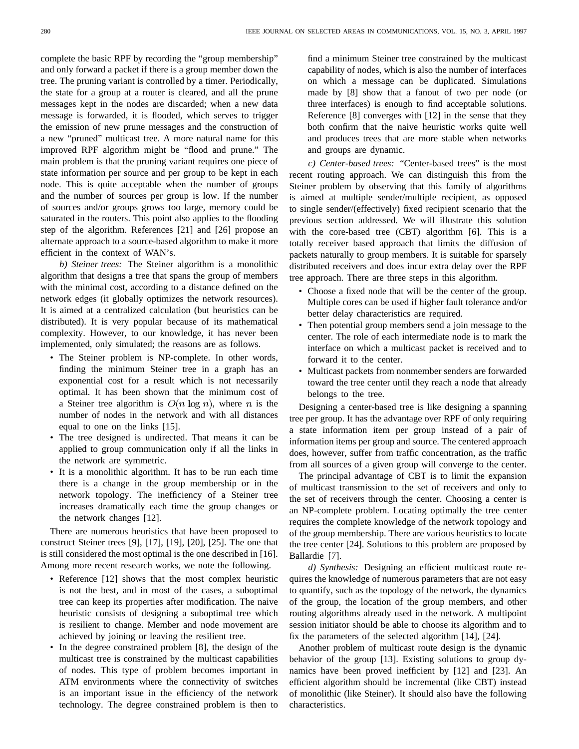complete the basic RPF by recording the "group membership" and only forward a packet if there is a group member down the tree. The pruning variant is controlled by a timer. Periodically, the state for a group at a router is cleared, and all the prune messages kept in the nodes are discarded; when a new data message is forwarded, it is flooded, which serves to trigger the emission of new prune messages and the construction of a new "pruned" multicast tree. A more natural name for this improved RPF algorithm might be "flood and prune." The main problem is that the pruning variant requires one piece of state information per source and per group to be kept in each node. This is quite acceptable when the number of groups and the number of sources per group is low. If the number of sources and/or groups grows too large, memory could be saturated in the routers. This point also applies to the flooding step of the algorithm. References [21] and [26] propose an alternate approach to a source-based algorithm to make it more efficient in the context of WAN's.

*b) Steiner trees:* The Steiner algorithm is a monolithic algorithm that designs a tree that spans the group of members with the minimal cost, according to a distance defined on the network edges (it globally optimizes the network resources). It is aimed at a centralized calculation (but heuristics can be distributed). It is very popular because of its mathematical complexity. However, to our knowledge, it has never been implemented, only simulated; the reasons are as follows.

- The Steiner problem is NP-complete. In other words, finding the minimum Steiner tree in a graph has an exponential cost for a result which is not necessarily optimal. It has been shown that the minimum cost of a Steiner tree algorithm is  $O(n \log n)$ , where n is the number of nodes in the network and with all distances equal to one on the links [15].
- The tree designed is undirected. That means it can be applied to group communication only if all the links in the network are symmetric.
- It is a monolithic algorithm. It has to be run each time there is a change in the group membership or in the network topology. The inefficiency of a Steiner tree increases dramatically each time the group changes or the network changes [12].

There are numerous heuristics that have been proposed to construct Steiner trees [9], [17], [19], [20], [25]. The one that is still considered the most optimal is the one described in [16]. Among more recent research works, we note the following.

- Reference [12] shows that the most complex heuristic is not the best, and in most of the cases, a suboptimal tree can keep its properties after modification. The naive heuristic consists of designing a suboptimal tree which is resilient to change. Member and node movement are achieved by joining or leaving the resilient tree.
- In the degree constrained problem [8], the design of the multicast tree is constrained by the multicast capabilities of nodes. This type of problem becomes important in ATM environments where the connectivity of switches is an important issue in the efficiency of the network technology. The degree constrained problem is then to

find a minimum Steiner tree constrained by the multicast capability of nodes, which is also the number of interfaces on which a message can be duplicated. Simulations made by [8] show that a fanout of two per node (or three interfaces) is enough to find acceptable solutions. Reference [8] converges with [12] in the sense that they both confirm that the naive heuristic works quite well and produces trees that are more stable when networks and groups are dynamic.

*c) Center-based trees:* "Center-based trees" is the most recent routing approach. We can distinguish this from the Steiner problem by observing that this family of algorithms is aimed at multiple sender/multiple recipient, as opposed to single sender/(effectively) fixed recipient scenario that the previous section addressed. We will illustrate this solution with the core-based tree (CBT) algorithm [6]. This is a totally receiver based approach that limits the diffusion of packets naturally to group members. It is suitable for sparsely distributed receivers and does incur extra delay over the RPF tree approach. There are three steps in this algorithm.

- Choose a fixed node that will be the center of the group. Multiple cores can be used if higher fault tolerance and/or better delay characteristics are required.
- Then potential group members send a join message to the center. The role of each intermediate node is to mark the interface on which a multicast packet is received and to forward it to the center.
- Multicast packets from nonmember senders are forwarded toward the tree center until they reach a node that already belongs to the tree.

Designing a center-based tree is like designing a spanning tree per group. It has the advantage over RPF of only requiring a state information item per group instead of a pair of information items per group and source. The centered approach does, however, suffer from traffic concentration, as the traffic from all sources of a given group will converge to the center.

The principal advantage of CBT is to limit the expansion of multicast transmission to the set of receivers and only to the set of receivers through the center. Choosing a center is an NP-complete problem. Locating optimally the tree center requires the complete knowledge of the network topology and of the group membership. There are various heuristics to locate the tree center [24]. Solutions to this problem are proposed by Ballardie [7].

*d) Synthesis:* Designing an efficient multicast route requires the knowledge of numerous parameters that are not easy to quantify, such as the topology of the network, the dynamics of the group, the location of the group members, and other routing algorithms already used in the network. A multipoint session initiator should be able to choose its algorithm and to fix the parameters of the selected algorithm [14], [24].

Another problem of multicast route design is the dynamic behavior of the group [13]. Existing solutions to group dynamics have been proved inefficient by [12] and [23]. An efficient algorithm should be incremental (like CBT) instead of monolithic (like Steiner). It should also have the following characteristics.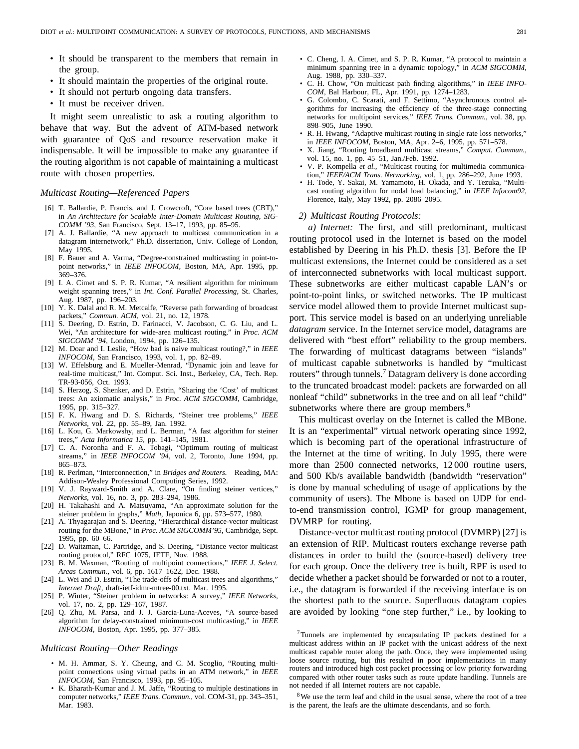- It should be transparent to the members that remain in the group.
- It should maintain the properties of the original route.
- It should not perturb ongoing data transfers.
- It must be receiver driven.

It might seem unrealistic to ask a routing algorithm to behave that way. But the advent of ATM-based network with guarantee of QoS and resource reservation make it indispensable. It will be impossible to make any guarantee if the routing algorithm is not capable of maintaining a multicast route with chosen properties.

#### *Multicast Routing—Referenced Papers*

- [6] T. Ballardie, P. Francis, and J. Crowcroft, "Core based trees (CBT)," in *An Architecture for Scalable Inter-Domain Multicast Routing, SIG-COMM '93,* San Francisco, Sept. 13–17, 1993, pp. 85–95.
- [7] A. J. Ballardie, "A new approach to multicast communication in a datagram internetwork," Ph.D. dissertation, Univ. College of London, May 1995.
- [8] F. Bauer and A. Varma, "Degree-constrained multicasting in point-topoint networks," in *IEEE INFOCOM,* Boston, MA, Apr. 1995, pp. 369–376.
- [9] I. A. Cimet and S. P. R. Kumar, "A resilient algorithm for minimum weight spanning trees," in *Int. Conf. Parallel Processing,* St. Charles, Aug. 1987, pp. 196–203.
- [10] Y. K. Dalal and R. M. Metcalfe, "Reverse path forwarding of broadcast packets," *Commun. ACM,* vol. 21, no. 12, 1978.
- [11] S. Deering, D. Estrin, D. Farinacci, V. Jacobson, C. G. Liu, and L. Wei, "An architecture for wide-area multicast routing," in *Proc. ACM SIGCOMM '94,* London, 1994, pp. 126–135.
- [12] M. Doar and I. Leslie, "How bad is naive multicast routing?," in *IEEE INFOCOM,* San Francisco, 1993, vol. 1, pp. 82–89.
- [13] W. Effelsburg and E. Mueller-Menrad, "Dynamic join and leave for real-time multicast," Int. Comput. Sci. Inst., Berkeley, CA, Tech. Rep. TR-93-056, Oct. 1993.
- [14] S. Herzog, S. Shenker, and D. Estrin, "Sharing the 'Cost' of multicast trees: An axiomatic analysis," in *Proc. ACM SIGCOMM,* Cambridge, 1995, pp. 315–327.
- [15] F. K. Hwang and D. S. Richards, "Steiner tree problems," *IEEE Networks,* vol. 22, pp. 55–89, Jan. 1992.
- [16] L. Kou, G. Markowshy, and L. Berman, "A fast algorithm for steiner trees," *Acta Informatica 15,* pp. 141–145, 1981.
- [17] C. A. Noronha and F. A. Tobagi, "Optimum routing of multicast streams," in *IEEE INFOCOM '94,* vol. 2, Toronto, June 1994, pp. 865–873.
- [18] R. Perlman, "Interconnection," in *Bridges and Routers.* Reading, MA: Addison-Wesley Professional Computing Series, 1992.
- [19] V. J. Rayward-Smith and A. Clare, "On finding steiner vertices," *Networks,* vol. 16, no. 3, pp. 283–294, 1986.
- [20] H. Takahashi and A. Matsuyama, "An approximate solution for the steiner problem in graphs," *Math,* Japonica 6, pp. 573–577, 1980.
- [21] A. Thyagarajan and S. Deering, "Hierarchical distance-vector multicast routing for the MBone," in *Proc. ACM SIGCOMM'95,* Cambridge, Sept. 1995, pp. 60–66.
- [22] D. Waitzman, C. Partridge, and S. Deering, "Distance vector multicast routing protocol," RFC 1075, IETF, Nov. 1988.
- [23] B. M. Waxman, "Routing of multipoint connections," *IEEE J. Select. Areas Commun.,* vol. 6, pp. 1617–1622, Dec. 1988.
- [24] L. Wei and D. Estrin, "The trade-offs of multicast trees and algorithms," *Internet Draft,* draft-ietf-idmr-mtree-00.txt. Mar. 1995.
- [25] P. Winter, "Steiner problem in networks: A survey," *IEEE Networks,* vol. 17, no. 2, pp. 129–167, 1987.
- [26] Q. Zhu, M. Parsa, and J. J. Garcia-Luna-Aceves, "A source-based algorithm for delay-constrained minimum-cost multicasting," in *IEEE INFOCOM,* Boston, Apr. 1995, pp. 377–385.

#### *Multicast Routing—Other Readings*

- M. H. Ammar, S. Y. Cheung, and C. M. Scoglio, "Routing multipoint connections using virtual paths in an ATM network," in *IEEE INFOCOM,* San Francisco, 1993, pp. 95–105.
- K. Bharath-Kumar and J. M. Jaffe, "Routing to multiple destinations in computer networks," *IEEE Trans. Commun.,* vol. COM-31, pp. 343–351, Mar. 1983.
- C. Cheng, I. A. Cimet, and S. P. R. Kumar, "A protocol to maintain a minimum spanning tree in a dynamic topology," in *ACM SIGCOMM,* Aug. 1988, pp. 330–337.
- C. H. Chow, "On multicast path finding algorithms," in *IEEE INFO-COM,* Bal Harbour, FL, Apr. 1991, pp. 1274–1283.
- G. Colombo, C. Scarati, and F. Settimo, "Asynchronous control algorithms for increasing the efficiency of the three-stage connecting networks for multipoint services," *IEEE Trans. Commun.,* vol. 38, pp. 898–905, June 1990.
- R. H. Hwang, "Adaptive multicast routing in single rate loss networks," in *IEEE INFOCOM,* Boston, MA, Apr. 2–6, 1995, pp. 571–578.
- X. Jiang, "Routing broadband multicast streams," *Comput. Commun.,* vol. 15, no. 1, pp. 45–51, Jan./Feb. 1992.
- V. P. Kompella *et al.,* "Multicast routing for multimedia communication," *IEEE/ACM Trans. Networking,* vol. 1, pp. 286–292, June 1993.
- H. Tode, Y. Sakai, M. Yamamoto, H. Okada, and Y. Tezuka, "Multicast routing algorithm for nodal load balancing," in *IEEE Infocom92,* Florence, Italy, May 1992, pp. 2086–2095.

### *2) Multicast Routing Protocols:*

*a) Internet:* The first, and still predominant, multicast routing protocol used in the Internet is based on the model established by Deering in his Ph.D. thesis [3]. Before the IP multicast extensions, the Internet could be considered as a set of interconnected subnetworks with local multicast support. These subnetworks are either multicast capable LAN's or point-to-point links, or switched networks. The IP multicast service model allowed them to provide Internet multicast support. This service model is based on an underlying unreliable *datagram* service. In the Internet service model, datagrams are delivered with "best effort" reliability to the group members. The forwarding of multicast datagrams between "islands" of multicast capable subnetworks is handled by "multicast routers" through tunnels.<sup>7</sup> Datagram delivery is done according to the truncated broadcast model: packets are forwarded on all nonleaf "child" subnetworks in the tree and on all leaf "child" subnetworks where there are group members.<sup>8</sup>

This multicast overlay on the Internet is called the MBone. It is an "experimental" virtual network operating since 1992, which is becoming part of the operational infrastructure of the Internet at the time of writing. In July 1995, there were more than 2500 connected networks, 12 000 routine users, and 500 Kb/s available bandwidth (bandwidth "reservation" is done by manual scheduling of usage of applications by the community of users). The Mbone is based on UDP for endto-end transmission control, IGMP for group management, DVMRP for routing.

Distance-vector multicast routing protocol (DVMRP) [27] is an extension of RIP. Multicast routers exchange reverse path distances in order to build the (source-based) delivery tree for each group. Once the delivery tree is built, RPF is used to decide whether a packet should be forwarded or not to a router, i.e., the datagram is forwarded if the receiving interface is on the shortest path to the source. Superfluous datagram copies are avoided by looking "one step further," i.e., by looking to

 $7$ Tunnels are implemented by encapsulating IP packets destined for a multicast address within an IP packet with the unicast address of the next multicast capable router along the path. Once, they were implemented using loose source routing, but this resulted in poor implementations in many routers and introduced high cost packet processing or low priority forwarding compared with other router tasks such as route update handling. Tunnels are not needed if all Internet routers are not capable.

We use the term leaf and child in the usual sense, where the root of a tree is the parent, the leafs are the ultimate descendants, and so forth.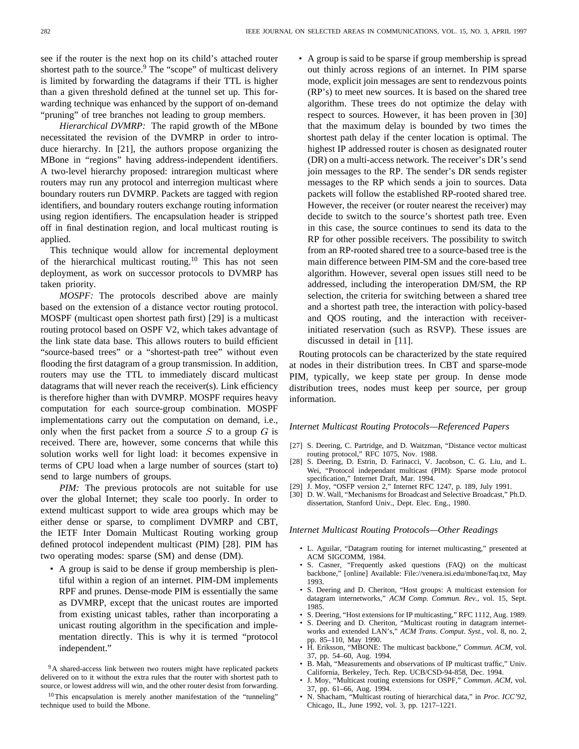see if the router is the next hop on its child's attached router shortest path to the source.<sup>9</sup> The "scope" of multicast delivery is limited by forwarding the datagrams if their TTL is higher than a given threshold defined at the tunnel set up. This forwarding technique was enhanced by the support of on-demand "pruning" of tree branches not leading to group members.

*Hierarchical DVMRP:* The rapid growth of the MBone necessitated the revision of the DVMRP in order to introduce hierarchy. In [21], the authors propose organizing the MBone in "regions" having address-independent identifiers. A two-level hierarchy proposed: intraregion multicast where routers may run any protocol and interregion multicast where boundary routers run DVMRP. Packets are tagged with region identifiers, and boundary routers exchange routing information using region identifiers. The encapsulation header is stripped off in final destination region, and local multicast routing is applied.

This technique would allow for incremental deployment of the hierarchical multicast routing.<sup>10</sup> This has not seen deployment, as work on successor protocols to DVMRP has taken priority.

*MOSPF:* The protocols described above are mainly based on the extension of a distance vector routing protocol. MOSPF (multicast open shortest path first) [29] is a multicast routing protocol based on OSPF V2, which takes advantage of the link state data base. This allows routers to build efficient "source-based trees" or a "shortest-path tree" without even flooding the first datagram of a group transmission. In addition, routers may use the TTL to immediately discard multicast datagrams that will never reach the receiver(s). Link efficiency is therefore higher than with DVMRP. MOSPF requires heavy computation for each source-group combination. MOSPF implementations carry out the computation on demand, i.e., only when the first packet from a source  $S$  to a group  $G$  is received. There are, however, some concerns that while this solution works well for light load: it becomes expensive in terms of CPU load when a large number of sources (start to) send to large numbers of groups.

*PIM:* The previous protocols are not suitable for use over the global Internet; they scale too poorly. In order to extend multicast support to wide area groups which may be either dense or sparse, to compliment DVMRP and CBT, the IETF Inter Domain Multicast Routing working group defined protocol independent multicast (PIM) [28]. PIM has two operating modes: sparse (SM) and dense (DM).

• A group is said to be dense if group membership is plentiful within a region of an internet. PIM-DM implements RPF and prunes. Dense-mode PIM is essentially the same as DVMRP, except that the unicast routes are imported from existing unicast tables, rather than incorporating a unicast routing algorithm in the specification and implementation directly. This is why it is termed "protocol independent."

• A group is said to be sparse if group membership is spread out thinly across regions of an internet. In PIM sparse mode, explicit join messages are sent to rendezvous points (RP's) to meet new sources. It is based on the shared tree algorithm. These trees do not optimize the delay with respect to sources. However, it has been proven in [30] that the maximum delay is bounded by two times the shortest path delay if the center location is optimal. The highest IP addressed router is chosen as designated router (DR) on a multi-access network. The receiver's DR's send join messages to the RP. The sender's DR sends register messages to the RP which sends a join to sources. Data packets will follow the established RP-rooted shared tree. However, the receiver (or router nearest the receiver) may decide to switch to the source's shortest path tree. Even in this case, the source continues to send its data to the RP for other possible receivers. The possibility to switch from an RP-rooted shared tree to a source-based tree is the main difference between PIM-SM and the core-based tree algorithm. However, several open issues still need to be addressed, including the interoperation DM/SM, the RP selection, the criteria for switching between a shared tree and a shortest path tree, the interaction with policy-based and QOS routing, and the interaction with receiverinitiated reservation (such as RSVP). These issues are discussed in detail in [11].

Routing protocols can be characterized by the state required at nodes in their distribution trees. In CBT and sparse-mode PIM, typically, we keep state per group. In dense mode distribution trees, nodes must keep per source, per group information.

# *Internet Multicast Routing Protocols—Referenced Papers*

- [27] S. Deering, C. Partridge, and D. Waitzman, "Distance vector multicast routing protocol," RFC 1075, Nov. 1988.
- [28] S. Deering, D. Estrin, D. Farinacci, V. Jacobson, C. G. Liu, and L. Wei, "Protocol independant multicast (PIM): Sparse mode protocol specification," Internet Draft, Mar. 1994.
- [29] J. Moy, "OSFP version 2," Internet RFC 1247, p. 189, July 1991.
- [30] D. W. Wall, "Mechanisms for Broadcast and Selective Broadcast," Ph.D. dissertation, Stanford Univ., Dept. Elec. Eng., 1980.

# *Internet Multicast Routing Protocols—Other Readings*

- L. Aguilar, "Datagram routing for internet multicasting," presented at ACM SIGCOMM, 1984.
- S. Casner, "Frequently asked questions (FAQ) on the multicast backbone," [online] Available: File://venera.isi.edu/mbone/faq.txt, May 1993.
- S. Deering and D. Cheriton, "Host groups: A multicast extension for datagram internetworks," *ACM Comp. Commun. Rev.*, vol. 15, Sept. 1985.
- S. Deering, "Host extensions for IP multicasting," RFC 1112, Aug. 1989.
- S. Deering and D. Cheriton, "Multicast routing in datagram internetworks and extended LAN's," *ACM Trans. Comput. Syst.,* vol. 8, no. 2, pp. 85–110, May 1990.
- H. Eriksson, "MBONE: The multicast backbone," *Commun. ACM,* vol. 37, pp. 54–60, Aug. 1994.
- B. Mah, "Measurements and observations of IP multicast traffic," Univ. California, Berkeley, Tech. Rep. UCB/CSD-94-858, Dec. 1994.
- J. Moy, "Multicast routing extensions for OSPF," *Commun. ACM,* vol. 37, pp. 61–66, Aug. 1994.
- N. Shacham, "Multicast routing of hierarchical data," in *Proc. ICC'92,* Chicago, IL, June 1992, vol. 3, pp. 1217–1221.

<sup>&</sup>lt;sup>9</sup>A shared-access link between two routers might have replicated packets delivered on to it without the extra rules that the router with shortest path to source, or lowest address will win, and the other router desist from forwarding.

 $10$ This encapsulation is merely another manifestation of the "tunneling" technique used to build the Mbone.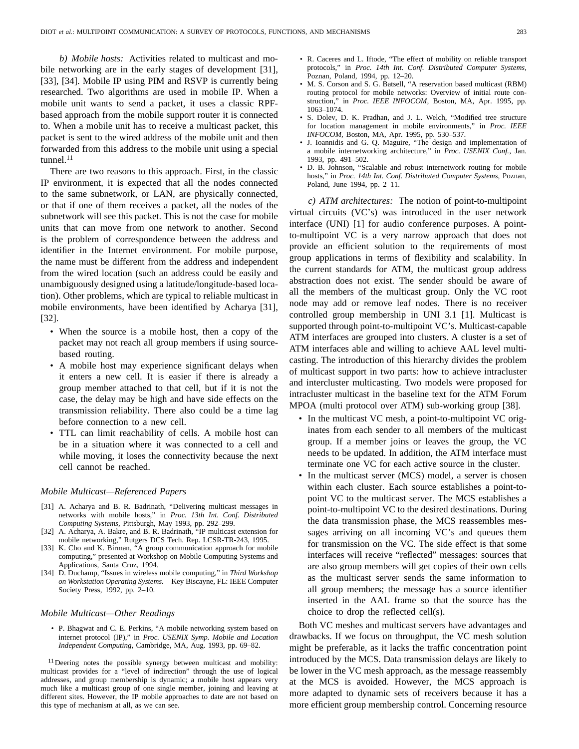*b) Mobile hosts:* Activities related to multicast and mobile networking are in the early stages of development [31], [33], [34]. Mobile IP using PIM and RSVP is currently being researched. Two algorithms are used in mobile IP. When a mobile unit wants to send a packet, it uses a classic RPFbased approach from the mobile support router it is connected to. When a mobile unit has to receive a multicast packet, this packet is sent to the wired address of the mobile unit and then forwarded from this address to the mobile unit using a special tunnel. $11$ 

There are two reasons to this approach. First, in the classic IP environment, it is expected that all the nodes connected to the same subnetwork, or LAN, are physically connected, or that if one of them receives a packet, all the nodes of the subnetwork will see this packet. This is not the case for mobile units that can move from one network to another. Second is the problem of correspondence between the address and identifier in the Internet environment. For mobile purpose, the name must be different from the address and independent from the wired location (such an address could be easily and unambiguously designed using a latitude/longitude-based location). Other problems, which are typical to reliable multicast in mobile environments, have been identified by Acharya [31], [32].

- When the source is a mobile host, then a copy of the packet may not reach all group members if using sourcebased routing.
- A mobile host may experience significant delays when it enters a new cell. It is easier if there is already a group member attached to that cell, but if it is not the case, the delay may be high and have side effects on the transmission reliability. There also could be a time lag before connection to a new cell.
- TTL can limit reachability of cells. A mobile host can be in a situation where it was connected to a cell and while moving, it loses the connectivity because the next cell cannot be reached.

#### *Mobile Multicast—Referenced Papers*

- [31] A. Acharya and B. R. Badrinath, "Delivering multicast messages in networks with mobile hosts," in *Proc. 13th Int. Conf. Distributed Computing Systems,* Pittsburgh, May 1993, pp. 292–299.
- [32] A. Acharya, A. Bakre, and B. R. Badrinath, "IP multicast extension for mobile networking," Rutgers DCS Tech. Rep. LCSR-TR-243, 1995.
- [33] K. Cho and K. Birman, "A group communication approach for mobile computing," presented at Workshop on Mobile Computing Systems and Applications, Santa Cruz, 1994.
- [34] D. Duchamp, "Issues in wireless mobile computing," in *Third Workshop on Workstation Operating Systems.* Key Biscayne, FL: IEEE Computer Society Press, 1992, pp. 2–10.

#### *Mobile Multicast—Other Readings*

• P. Bhagwat and C. E. Perkins, "A mobile networking system based on internet protocol (IP)," in *Proc. USENIX Symp. Mobile and Location Independent Computing,* Cambridge, MA, Aug. 1993, pp. 69–82.

<sup>11</sup> Deering notes the possible synergy between multicast and mobility: multicast provides for a "level of indirection" through the use of logical addresses, and group membership is dynamic; a mobile host appears very much like a multicast group of one single member, joining and leaving at different sites. However, the IP mobile approaches to date are not based on this type of mechanism at all, as we can see.

- R. Caceres and L. Iftode, "The effect of mobility on reliable transport protocols," in *Proc. 14th Int. Conf. Distributed Computer Systems,* Poznan, Poland, 1994, pp. 12–20.
- M. S. Corson and S. G. Batsell, "A reservation based multicast (RBM) routing protocol for mobile networks: Overview of initial route construction," in *Proc. IEEE INFOCOM,* Boston, MA, Apr. 1995, pp. 1063–1074.
- S. Dolev, D. K. Pradhan, and J. L. Welch, "Modified tree structure for location management in mobile environments," in *Proc. IEEE INFOCOM,* Boston, MA, Apr. 1995, pp. 530–537.
- J. Ioannidis and G. Q. Maguire, "The design and implementation of a mobile internetworking architecture," in *Proc. USENIX Conf.,* Jan. 1993, pp. 491–502.
- D. B. Johnson, "Scalable and robust internetwork routing for mobile hosts," in *Proc. 14th Int. Conf. Distributed Computer Systems,* Poznan, Poland, June 1994, pp. 2–11.

*c) ATM architectures:* The notion of point-to-multipoint virtual circuits (VC's) was introduced in the user network interface (UNI) [1] for audio conference purposes. A pointto-multipoint VC is a very narrow approach that does not provide an efficient solution to the requirements of most group applications in terms of flexibility and scalability. In the current standards for ATM, the multicast group address abstraction does not exist. The sender should be aware of all the members of the multicast group. Only the VC root node may add or remove leaf nodes. There is no receiver controlled group membership in UNI 3.1 [1]. Multicast is supported through point-to-multipoint VC's. Multicast-capable ATM interfaces are grouped into clusters. A cluster is a set of ATM interfaces able and willing to achieve AAL level multicasting. The introduction of this hierarchy divides the problem of multicast support in two parts: how to achieve intracluster and intercluster multicasting. Two models were proposed for intracluster multicast in the baseline text for the ATM Forum MPOA (multi protocol over ATM) sub-working group [38].

- In the multicast VC mesh, a point-to-multipoint VC originates from each sender to all members of the multicast group. If a member joins or leaves the group, the VC needs to be updated. In addition, the ATM interface must terminate one VC for each active source in the cluster.
- In the multicast server (MCS) model, a server is chosen within each cluster. Each source establishes a point-topoint VC to the multicast server. The MCS establishes a point-to-multipoint VC to the desired destinations. During the data transmission phase, the MCS reassembles messages arriving on all incoming VC's and queues them for transmission on the VC. The side effect is that some interfaces will receive "reflected" messages: sources that are also group members will get copies of their own cells as the multicast server sends the same information to all group members; the message has a source identifier inserted in the AAL frame so that the source has the choice to drop the reflected cell(s).

Both VC meshes and multicast servers have advantages and drawbacks. If we focus on throughput, the VC mesh solution might be preferable, as it lacks the traffic concentration point introduced by the MCS. Data transmission delays are likely to be lower in the VC mesh approach, as the message reassembly at the MCS is avoided. However, the MCS approach is more adapted to dynamic sets of receivers because it has a more efficient group membership control. Concerning resource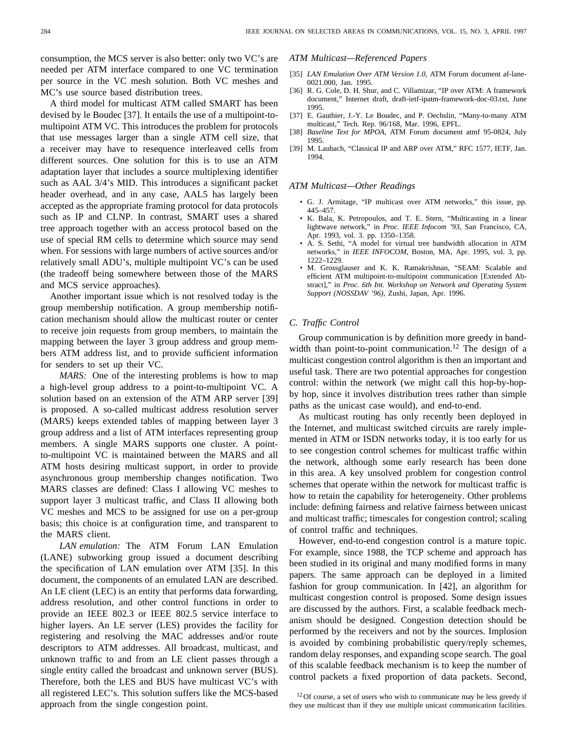consumption, the MCS server is also better: only two VC's are needed per ATM interface compared to one VC termination per source in the VC mesh solution. Both VC meshes and MC's use source based distribution trees.

A third model for multicast ATM called SMART has been devised by le Boudec [37]. It entails the use of a multipoint-tomultipoint ATM VC. This introduces the problem for protocols that use messages larger than a single ATM cell size, that a receiver may have to resequence interleaved cells from different sources. One solution for this is to use an ATM adaptation layer that includes a source multiplexing identifier such as AAL 3/4's MID. This introduces a significant packet header overhead, and in any case, AAL5 has largely been accepted as the appropriate framing protocol for data protocols such as IP and CLNP. In contrast, SMART uses a shared tree approach together with an access protocol based on the use of special RM cells to determine which source may send when. For sessions with large numbers of active sources and/or relatively small ADU's, multiple multipoint VC's can be used (the tradeoff being somewhere between those of the MARS and MCS service approaches).

Another important issue which is not resolved today is the group membership notification. A group membership notification mechanism should allow the multicast router or center to receive join requests from group members, to maintain the mapping between the layer 3 group address and group members ATM address list, and to provide sufficient information for senders to set up their VC.

*MARS:* One of the interesting problems is how to map a high-level group address to a point-to-multipoint VC. A solution based on an extension of the ATM ARP server [39] is proposed. A so-called multicast address resolution server (MARS) keeps extended tables of mapping between layer 3 group address and a list of ATM interfaces representing group members. A single MARS supports one cluster. A pointto-multipoint VC is maintained between the MARS and all ATM hosts desiring multicast support, in order to provide asynchronous group membership changes notification. Two MARS classes are defined: Class I allowing VC meshes to support layer 3 multicast traffic, and Class II allowing both VC meshes and MCS to be assigned for use on a per-group basis; this choice is at configuration time, and transparent to the MARS client.

*LAN emulation:* The ATM Forum LAN Emulation (LANE) subworking group issued a document describing the specification of LAN emulation over ATM [35]. In this document, the components of an emulated LAN are described. An LE client (LEC) is an entity that performs data forwarding, address resolution, and other control functions in order to provide an IEEE 802.3 or IEEE 802.5 service interface to higher layers. An LE server (LES) provides the facility for registering and resolving the MAC addresses and/or route descriptors to ATM addresses. All broadcast, multicast, and unknown traffic to and from an LE client passes through a single entity called the broadcast and unknown server (BUS). Therefore, both the LES and BUS have multicast VC's with all registered LEC's. This solution suffers like the MCS-based approach from the single congestion point.

#### *ATM Multicast—Referenced Papers*

- [35] *LAN Emulation Over ATM Version 1.0,* ATM Forum document af-lane-0021.000, Jan. 1995.
- [36] R. G. Cole, D. H. Shur, and C. Villamizar, "IP over ATM: A framework document," Internet draft, draft-ietf-ipatm-framework-doc-03.txt, June 1995.
- [37] E. Gauthier, J.-Y. Le Boudec, and P. Oechslin, "Many-to-many ATM multicast," Tech. Rep. 96/168, Mar. 1996, EPFL.
- [38] *Baseline Text for MPOA,* ATM Forum document atmf 95-0824, July 1995.
- [39] M. Laubach, "Classical IP and ARP over ATM," RFC 1577, IETF, Jan. 1994.

#### *ATM Multicast—Other Readings*

- G. J. Armitage, "IP multicast over ATM networks," this issue, pp. 445–457.
- K. Bala, K. Petropoulos, and T. E. Stern, "Multicasting in a linear lightwave network," in *Proc. IEEE Infocom '93,* San Francisco, CA, Apr. 1993, vol. 3. pp. 1350–1358.
- A. S. Sethi, "A model for virtual tree bandwidth allocation in ATM networks," in *IEEE INFOCOM,* Boston, MA, Apr. 1995, vol. 3, pp. 1222–1229.
- M. Grossglauser and K. K. Ramakrishnan, "SEAM: Scalable and efficient ATM multipoint-to-multipoint communication [Extended Abstract]," in *Proc. 6th Int. Workshop on Network and Operating System Support (NOSSDAV '96),* Zushi, Japan, Apr. 1996.

# *C. Traffic Control*

Group communication is by definition more greedy in bandwidth than point-to-point communication.<sup>12</sup> The design of a multicast congestion control algorithm is then an important and useful task. There are two potential approaches for congestion control: within the network (we might call this hop-by-hopby hop, since it involves distribution trees rather than simple paths as the unicast case would), and end-to-end.

As multicast routing has only recently been deployed in the Internet, and multicast switched circuits are rarely implemented in ATM or ISDN networks today, it is too early for us to see congestion control schemes for multicast traffic within the network, although some early research has been done in this area. A key unsolved problem for congestion control schemes that operate within the network for multicast traffic is how to retain the capability for heterogeneity. Other problems include: defining fairness and relative fairness between unicast and multicast traffic; timescales for congestion control; scaling of control traffic and techniques.

However, end-to-end congestion control is a mature topic. For example, since 1988, the TCP scheme and approach has been studied in its original and many modified forms in many papers. The same approach can be deployed in a limited fashion for group communication. In [42], an algorithm for multicast congestion control is proposed. Some design issues are discussed by the authors. First, a scalable feedback mechanism should be designed. Congestion detection should be performed by the receivers and not by the sources. Implosion is avoided by combining probabilistic query/reply schemes, random delay responses, and expanding scope search. The goal of this scalable feedback mechanism is to keep the number of control packets a fixed proportion of data packets. Second,

 $12$ Of course, a set of users who wish to communicate may be less greedy if they use multicast than if they use multiple unicast communication facilities.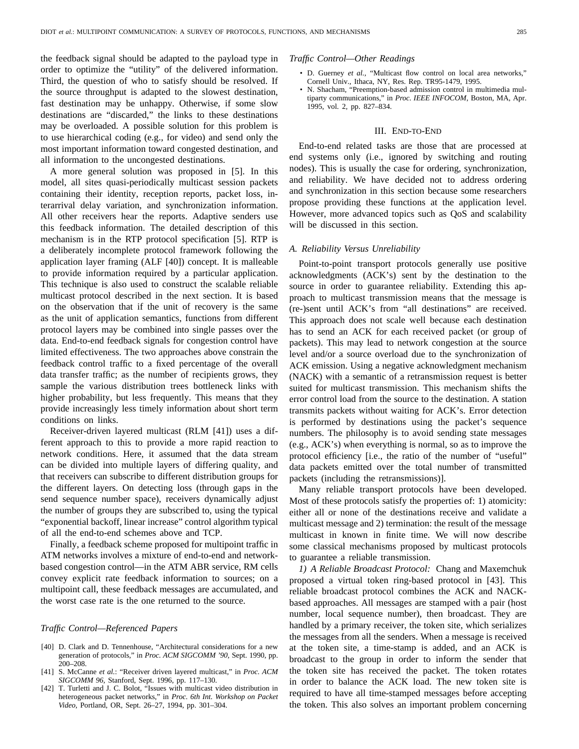the feedback signal should be adapted to the payload type in order to optimize the "utility" of the delivered information. Third, the question of who to satisfy should be resolved. If the source throughput is adapted to the slowest destination, fast destination may be unhappy. Otherwise, if some slow destinations are "discarded," the links to these destinations may be overloaded. A possible solution for this problem is to use hierarchical coding (e.g., for video) and send only the most important information toward congested destination, and all information to the uncongested destinations.

A more general solution was proposed in [5]. In this model, all sites quasi-periodically multicast session packets containing their identity, reception reports, packet loss, interarrival delay variation, and synchronization information. All other receivers hear the reports. Adaptive senders use this feedback information. The detailed description of this mechanism is in the RTP protocol specification [5]. RTP is a deliberately incomplete protocol framework following the application layer framing (ALF [40]) concept. It is malleable to provide information required by a particular application. This technique is also used to construct the scalable reliable multicast protocol described in the next section. It is based on the observation that if the unit of recovery is the same as the unit of application semantics, functions from different protocol layers may be combined into single passes over the data. End-to-end feedback signals for congestion control have limited effectiveness. The two approaches above constrain the feedback control traffic to a fixed percentage of the overall data transfer traffic; as the number of recipients grows, they sample the various distribution trees bottleneck links with higher probability, but less frequently. This means that they provide increasingly less timely information about short term conditions on links.

Receiver-driven layered multicast (RLM [41]) uses a different approach to this to provide a more rapid reaction to network conditions. Here, it assumed that the data stream can be divided into multiple layers of differing quality, and that receivers can subscribe to different distribution groups for the different layers. On detecting loss (through gaps in the send sequence number space), receivers dynamically adjust the number of groups they are subscribed to, using the typical "exponential backoff, linear increase" control algorithm typical of all the end-to-end schemes above and TCP.

Finally, a feedback scheme proposed for multipoint traffic in ATM networks involves a mixture of end-to-end and networkbased congestion control—in the ATM ABR service, RM cells convey explicit rate feedback information to sources; on a multipoint call, these feedback messages are accumulated, and the worst case rate is the one returned to the source.

#### *Traffic Control—Referenced Papers*

- [40] D. Clark and D. Tennenhouse, "Architectural considerations for a new generation of protocols," in *Proc. ACM SIGCOMM '90,* Sept. 1990, pp. 200–208.
- [41] S. McCanne *et al.*: "Receiver driven layered multicast," in *Proc. ACM SIGCOMM 96,* Stanford, Sept. 1996, pp. 117–130.
- [42] T. Turletti and J. C. Bolot, "Issues with multicast video distribution in heterogeneous packet networks," in *Proc. 6th Int. Workshop on Packet Video,* Portland, OR, Sept. 26–27, 1994, pp. 301–304.

#### *Traffic Control—Other Readings*

- D. Guerney *et al.,* "Multicast flow control on local area networks," Cornell Univ., Ithaca, NY, Res. Rep. TR95-1479, 1995.
- N. Shacham, "Preemption-based admission control in multimedia multiparty communications," in *Proc. IEEE INFOCOM,* Boston, MA, Apr. 1995, vol. 2, pp. 827–834.

# III. END-TO-END

End-to-end related tasks are those that are processed at end systems only (i.e., ignored by switching and routing nodes). This is usually the case for ordering, synchronization, and reliability. We have decided not to address ordering and synchronization in this section because some researchers propose providing these functions at the application level. However, more advanced topics such as QoS and scalability will be discussed in this section.

#### *A. Reliability Versus Unreliability*

Point-to-point transport protocols generally use positive acknowledgments (ACK's) sent by the destination to the source in order to guarantee reliability. Extending this approach to multicast transmission means that the message is (re-)sent until ACK's from "all destinations" are received. This approach does not scale well because each destination has to send an ACK for each received packet (or group of packets). This may lead to network congestion at the source level and/or a source overload due to the synchronization of ACK emission. Using a negative acknowledgment mechanism (NACK) with a semantic of a retransmission request is better suited for multicast transmission. This mechanism shifts the error control load from the source to the destination. A station transmits packets without waiting for ACK's. Error detection is performed by destinations using the packet's sequence numbers. The philosophy is to avoid sending state messages (e.g., ACK's) when everything is normal, so as to improve the protocol efficiency [i.e., the ratio of the number of "useful" data packets emitted over the total number of transmitted packets (including the retransmissions)].

Many reliable transport protocols have been developed. Most of these protocols satisfy the properties of: 1) atomicity: either all or none of the destinations receive and validate a multicast message and 2) termination: the result of the message multicast in known in finite time. We will now describe some classical mechanisms proposed by multicast protocols to guarantee a reliable transmission.

*1) A Reliable Broadcast Protocol:* Chang and Maxemchuk proposed a virtual token ring-based protocol in [43]. This reliable broadcast protocol combines the ACK and NACKbased approaches. All messages are stamped with a pair (host number, local sequence number), then broadcast. They are handled by a primary receiver, the token site, which serializes the messages from all the senders. When a message is received at the token site, a time-stamp is added, and an ACK is broadcast to the group in order to inform the sender that the token site has received the packet. The token rotates in order to balance the ACK load. The new token site is required to have all time-stamped messages before accepting the token. This also solves an important problem concerning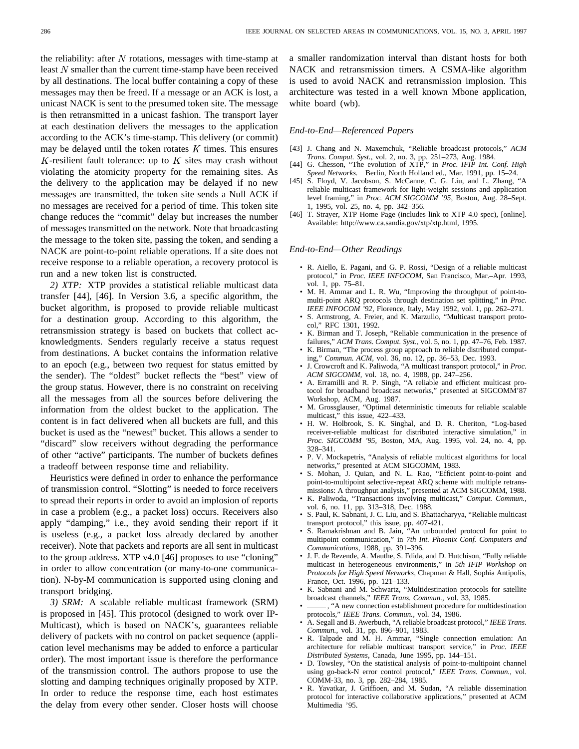the reliability: after  $N$  rotations, messages with time-stamp at least  $N$  smaller than the current time-stamp have been received by all destinations. The local buffer containing a copy of these messages may then be freed. If a message or an ACK is lost, a unicast NACK is sent to the presumed token site. The message is then retransmitted in a unicast fashion. The transport layer at each destination delivers the messages to the application according to the ACK's time-stamp. This delivery (or commit) may be delayed until the token rotates  $K$  times. This ensures  $K$ -resilient fault tolerance: up to  $K$  sites may crash without violating the atomicity property for the remaining sites. As the delivery to the application may be delayed if no new messages are transmitted, the token site sends a Null ACK if no messages are received for a period of time. This token site change reduces the "commit" delay but increases the number of messages transmitted on the network. Note that broadcasting the message to the token site, passing the token, and sending a NACK are point-to-point reliable operations. If a site does not receive response to a reliable operation, a recovery protocol is run and a new token list is constructed.

*2) XTP:* XTP provides a statistical reliable multicast data transfer [44], [46]. In Version 3.6, a specific algorithm, the bucket algorithm, is proposed to provide reliable multicast for a destination group. According to this algorithm, the retransmission strategy is based on buckets that collect acknowledgments. Senders regularly receive a status request from destinations. A bucket contains the information relative to an epoch (e.g., between two request for status emitted by the sender). The "oldest" bucket reflects the "best" view of the group status. However, there is no constraint on receiving all the messages from all the sources before delivering the information from the oldest bucket to the application. The content is in fact delivered when all buckets are full, and this bucket is used as the "newest" bucket. This allows a sender to "discard" slow receivers without degrading the performance of other "active" participants. The number of buckets defines a tradeoff between response time and reliability.

Heuristics were defined in order to enhance the performance of transmission control. "Slotting" is needed to force receivers to spread their reports in order to avoid an implosion of reports in case a problem (e.g., a packet loss) occurs. Receivers also apply "damping," i.e., they avoid sending their report if it is useless (e.g., a packet loss already declared by another receiver). Note that packets and reports are all sent in multicast to the group address. XTP v4.0 [46] proposes to use "cloning" in order to allow concentration (or many-to-one communication). N-by-M communication is supported using cloning and transport bridging.

*3) SRM:* A scalable reliable multicast framework (SRM) is proposed in [45]. This protocol (designed to work over IP-Multicast), which is based on NACK's, guarantees reliable delivery of packets with no control on packet sequence (application level mechanisms may be added to enforce a particular order). The most important issue is therefore the performance of the transmission control. The authors propose to use the slotting and damping techniques originally proposed by XTP. In order to reduce the response time, each host estimates the delay from every other sender. Closer hosts will choose a smaller randomization interval than distant hosts for both NACK and retransmission timers. A CSMA-like algorithm is used to avoid NACK and retransmission implosion. This architecture was tested in a well known Mbone application, white board (wb).

# *End-to-End—Referenced Papers*

- [43] J. Chang and N. Maxemchuk, "Reliable broadcast protocols," *ACM Trans. Comput. Syst.,* vol. 2, no. 3, pp. 251–273, Aug. 1984.
- [44] G. Chesson, "The evolution of XTP," in *Proc. IFIP Int. Conf. High Speed Networks.* Berlin, North Holland ed., Mar. 1991, pp. 15–24.
- [45] S. Floyd, V. Jacobson, S. McCanne, C. G. Liu, and L. Zhang, "A reliable multicast framework for light-weight sessions and application level framing," in *Proc. ACM SIGCOMM '95,* Boston, Aug. 28–Sept. 1, 1995, vol. 25, no. 4, pp. 342–356.
- [46] T. Strayer, XTP Home Page (includes link to XTP 4.0 spec), [online]. Available: http://www.ca.sandia.gov/xtp/xtp.html, 1995.

#### *End-to-End—Other Readings*

- R. Aiello, E. Pagani, and G. P. Rossi, "Design of a reliable multicast protocol," in *Proc. IEEE INFOCOM,* San Francisco, Mar.–Apr. 1993, vol. 1, pp. 75–81.
- M. H. Ammar and L. R. Wu, "Improving the throughput of point-tomulti-point ARQ protocols through destination set splitting," in *Proc. IEEE INFOCOM '92,* Florence, Italy, May 1992, vol. 1, pp. 262–271.
- S. Armstrong, A. Freier, and K. Marzullo, "Multicast transport protocol," RFC 1301, 1992.
- K. Birman and T. Joseph, "Reliable communication in the presence of failures," *ACM Trans. Comput. Syst.,* vol. 5, no. 1, pp. 47–76, Feb. 1987.
- K. Birman, "The process group approach to reliable distributed computing," *Commun. ACM,* vol. 36, no. 12, pp. 36–53, Dec. 1993.
- J. Crowcroft and K. Paliwoda, "A multicast transport protocol," in *Proc. ACM SIGCOMM,* vol. 18, no. 4, 1988, pp. 247–256.
- A. Erramilli and R. P. Singh, "A reliable and efficient multicast protocol for broadband broadcast networks," presented at SIGCOMM'87 Workshop, ACM, Aug. 1987.
- M. Grossglauser, "Optimal deterministic timeouts for reliable scalable multicast," this issue, 422–433.
- H. W. Holbrook, S. K. Singhal, and D. R. Cheriton, "Log-based receiver-reliable multicast for distributed interactive simulation," in *Proc. SIGCOMM '95,* Boston, MA, Aug. 1995, vol. 24, no. 4, pp. 328–341.
- P. V. Mockapetris, "Analysis of reliable multicast algorithms for local networks," presented at ACM SIGCOMM, 1983.
- S. Mohan, J. Quian, and N. L. Rao, "Efficient point-to-point and point-to-multipoint selective-repeat ARQ scheme with multiple retransmissions: A throughput analysis," presented at ACM SIGCOMM, 1988.
- K. Paliwoda, "Transactions involving multicast," *Comput. Commun.,* vol. 6, no. 11, pp. 313–318, Dec. 1988.
- S. Paul, K. Sabnani, J. C. Liu, and S. Bhattacharyya, "Reliable multicast transport protocol," this issue, pp. 407-421.
- S. Ramakrishnan and B. Jain, "An unbounded protocol for point to multipoint communication," in *7th Int. Phoenix Conf. Computers and Communications,* 1988, pp. 391–396.
- J. F. de Rezende, A. Mauthe, S. Fdida, and D. Hutchison, "Fully reliable multicast in heterogeneous environments," in *5th IFIP Workshop on Protocols for High Speed Networks*, Chapman & Hall, Sophia Antipolis, France, Oct. 1996, pp. 121–133.
- K. Sabnani and M. Schwartz, "Multidestination protocols for satellite broadcast channels," *IEEE Trans. Commun.,* vol. 33, 1985.
- , "A new connection establishment procedure for multidestination protocols," *IEEE Trans. Commun.,* vol. 34, 1986.
- A. Segall and B. Awerbuch, "A reliable broadcast protocol," *IEEE Trans. Commun.,* vol. 31, pp. 896–901, 1983.
- R. Talpade and M. H. Ammar, "Single connection emulation: An architecture for reliable multicast transport service," in *Proc. IEEE Distributed Systems,* Canada, June 1995, pp. 144–151.
- D. Towsley, "On the statistical analysis of point-to-multipoint channel using go-back-N error control protocol," *IEEE Trans. Commun.,* vol. COMM-33, no. 3, pp. 282–284, 1985.
- R. Yavatkar, J. Griffioen, and M. Sudan, "A reliable dissemination protocol for interactive collaborative applications," presented at ACM Multimedia '95.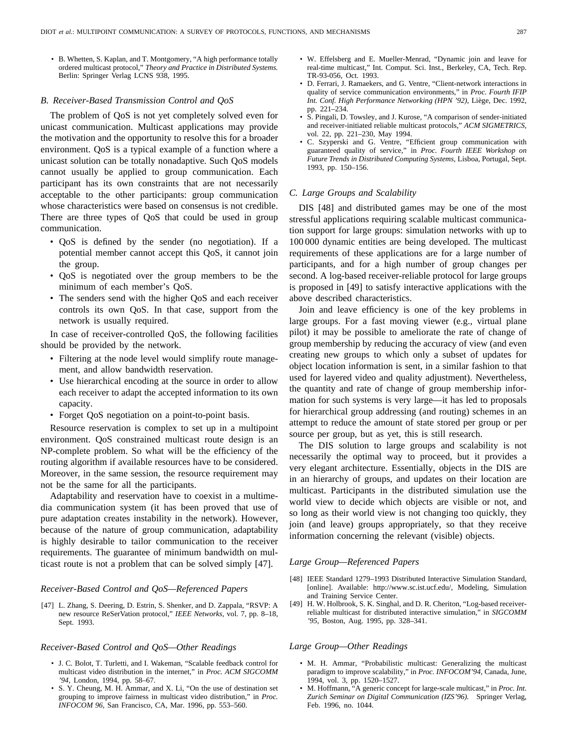• B. Whetten, S. Kaplan, and T. Montgomery, "A high performance totally ordered multicast protocol," *Theory and Practice in Distributed Systems.* Berlin: Springer Verlag LCNS 938, 1995.

#### *B. Receiver-Based Transmission Control and QoS*

The problem of QoS is not yet completely solved even for unicast communication. Multicast applications may provide the motivation and the opportunity to resolve this for a broader environment. QoS is a typical example of a function where a unicast solution can be totally nonadaptive. Such QoS models cannot usually be applied to group communication. Each participant has its own constraints that are not necessarily acceptable to the other participants: group communication whose characteristics were based on consensus is not credible. There are three types of QoS that could be used in group communication.

- QoS is defined by the sender (no negotiation). If a potential member cannot accept this QoS, it cannot join the group.
- QoS is negotiated over the group members to be the minimum of each member's QoS.
- The senders send with the higher QoS and each receiver controls its own QoS. In that case, support from the network is usually required.

In case of receiver-controlled QoS, the following facilities should be provided by the network.

- Filtering at the node level would simplify route management, and allow bandwidth reservation.
- Use hierarchical encoding at the source in order to allow each receiver to adapt the accepted information to its own capacity.
- Forget QoS negotiation on a point-to-point basis.

Resource reservation is complex to set up in a multipoint environment. QoS constrained multicast route design is an NP-complete problem. So what will be the efficiency of the routing algorithm if available resources have to be considered. Moreover, in the same session, the resource requirement may not be the same for all the participants.

Adaptability and reservation have to coexist in a multimedia communication system (it has been proved that use of pure adaptation creates instability in the network). However, because of the nature of group communication, adaptability is highly desirable to tailor communication to the receiver requirements. The guarantee of minimum bandwidth on multicast route is not a problem that can be solved simply [47].

# *Receiver-Based Control and QoS—Referenced Papers*

[47] L. Zhang, S. Deering, D. Estrin, S. Shenker, and D. Zappala, "RSVP: A new resource ReSerVation protocol," *IEEE Networks,* vol. 7, pp. 8–18, Sept. 1993.

#### *Receiver-Based Control and QoS—Other Readings*

- J. C. Bolot, T. Turletti, and I. Wakeman, "Scalable feedback control for multicast video distribution in the internet," in *Proc. ACM SIGCOMM '94,* London, 1994, pp. 58–67.
- S. Y. Cheung, M. H. Ammar, and X. Li, "On the use of destination set grouping to improve fairness in multicast video distribution," in *Proc. INFOCOM 96,* San Francisco, CA, Mar. 1996, pp. 553–560.
- W. Effelsberg and E. Mueller-Menrad, "Dynamic join and leave for real-time multicast," Int. Comput. Sci. Inst., Berkeley, CA, Tech. Rep. TR-93-056, Oct. 1993.
- D. Ferrari, J. Ramaekers, and G. Ventre, "Client-network interactions in quality of service communication environments," in *Proc. Fourth IFIP Int. Conf. High Performance Networking (HPN '92),* Liege, Dec. 1992, ` pp. 221–234.
- S. Pingali, D. Towsley, and J. Kurose, "A comparison of sender-initiated and receiver-initiated reliable multicast protocols," *ACM SIGMETRICS,* vol. 22, pp. 221–230, May 1994.
- C. Szyperski and G. Ventre, "Efficient group communication with guaranteed quality of service," in *Proc. Fourth IEEE Workshop on Future Trends in Distributed Computing Systems,* Lisboa, Portugal, Sept. 1993, pp. 150–156.

# *C. Large Groups and Scalability*

DIS [48] and distributed games may be one of the most stressful applications requiring scalable multicast communication support for large groups: simulation networks with up to 100 000 dynamic entities are being developed. The multicast requirements of these applications are for a large number of participants, and for a high number of group changes per second. A log-based receiver-reliable protocol for large groups is proposed in [49] to satisfy interactive applications with the above described characteristics.

Join and leave efficiency is one of the key problems in large groups. For a fast moving viewer (e.g., virtual plane pilot) it may be possible to ameliorate the rate of change of group membership by reducing the accuracy of view (and even creating new groups to which only a subset of updates for object location information is sent, in a similar fashion to that used for layered video and quality adjustment). Nevertheless, the quantity and rate of change of group membership information for such systems is very large—it has led to proposals for hierarchical group addressing (and routing) schemes in an attempt to reduce the amount of state stored per group or per source per group, but as yet, this is still research.

The DIS solution to large groups and scalability is not necessarily the optimal way to proceed, but it provides a very elegant architecture. Essentially, objects in the DIS are in an hierarchy of groups, and updates on their location are multicast. Participants in the distributed simulation use the world view to decide which objects are visible or not, and so long as their world view is not changing too quickly, they join (and leave) groups appropriately, so that they receive information concerning the relevant (visible) objects.

# *Large Group—Referenced Papers*

- [48] IEEE Standard 1279-1993 Distributed Interactive Simulation Standard, [online]. Available: http://www.sc.ist.ucf.edu/, Modeling, Simulation and Training Service Center.
- [49] H. W. Holbrook, S. K. Singhal, and D. R. Cheriton, "Log-based receiverreliable multicast for distributed interactive simulation," in *SIGCOMM '95,* Boston, Aug. 1995, pp. 328–341.

#### *Large Group—Other Readings*

- M. H. Ammar, "Probabilistic multicast: Generalizing the multicast paradigm to improve scalability," in *Proc. INFOCOM'94,* Canada, June, 1994, vol. 3, pp. 1520–1527.
- M. Hoffmann, "A generic concept for large-scale multicast," in *Proc. Int. Zurich Seminar on Digital Communication (IZS'96).* Springer Verlag, Feb. 1996, no. 1044.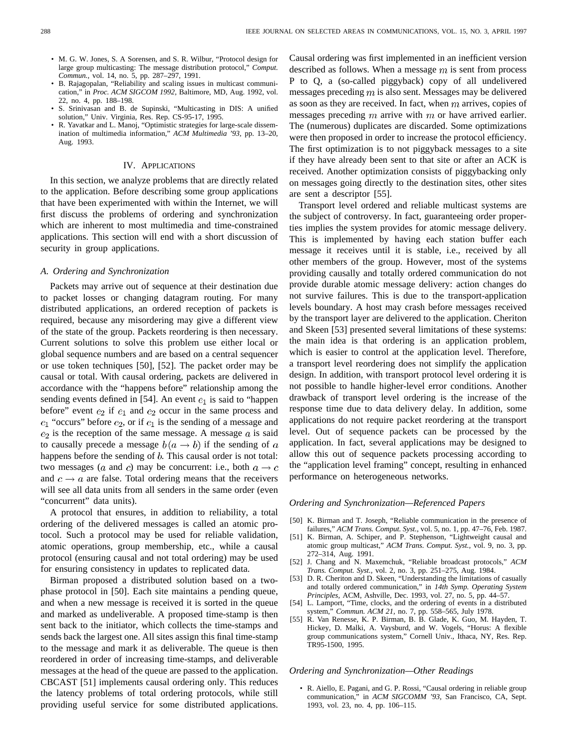- M. G. W. Jones, S. A Sorensen, and S. R. Wilbur, "Protocol design for large group multicasting: The message distribution protocol," *Comput. Commun.,* vol. 14, no. 5, pp. 287–297, 1991.
- B. Rajagopalan, "Reliability and scaling issues in multicast communication," in *Proc. ACM SIGCOM 1992,* Baltimore, MD, Aug. 1992, vol. 22, no. 4, pp. 188–198.
- S. Srinivasan and B. de Supinski, "Multicasting in DIS: A unified solution," Univ. Virginia, Res. Rep. CS-95-17, 1995.
- R. Yavatkar and L. Manoj, "Optimistic strategies for large-scale dissemination of multimedia information," *ACM Multimedia '93,* pp. 13–20, Aug. 1993.

# IV. APPLICATIONS

In this section, we analyze problems that are directly related to the application. Before describing some group applications that have been experimented with within the Internet, we will first discuss the problems of ordering and synchronization which are inherent to most multimedia and time-constrained applications. This section will end with a short discussion of security in group applications.

### *A. Ordering and Synchronization*

Packets may arrive out of sequence at their destination due to packet losses or changing datagram routing. For many distributed applications, an ordered reception of packets is required, because any misordering may give a different view of the state of the group. Packets reordering is then necessary. Current solutions to solve this problem use either local or global sequence numbers and are based on a central sequencer or use token techniques [50], [52]. The packet order may be causal or total. With causal ordering, packets are delivered in accordance with the "happens before" relationship among the sending events defined in [54]. An event  $e_1$  is said to "happen before" event  $e_2$  if  $e_1$  and  $e_2$  occur in the same process and  $e_1$  "occurs" before  $e_2$ , or if  $e_1$  is the sending of a message and  $e_2$  is the reception of the same message. A message  $\alpha$  is said to causally precede a message  $b(a \rightarrow b)$  if the sending of a happens before the sending of  $b$ . This causal order is not total: two messages (*a* and *c*) may be concurrent: i.e., both  $a \rightarrow c$ and  $c \rightarrow a$  are false. Total ordering means that the receivers will see all data units from all senders in the same order (even "concurrent" data units).

A protocol that ensures, in addition to reliability, a total ordering of the delivered messages is called an atomic protocol. Such a protocol may be used for reliable validation, atomic operations, group membership, etc., while a causal protocol (ensuring causal and not total ordering) may be used for ensuring consistency in updates to replicated data.

Birman proposed a distributed solution based on a twophase protocol in [50]. Each site maintains a pending queue, and when a new message is received it is sorted in the queue and marked as undeliverable. A proposed time-stamp is then sent back to the initiator, which collects the time-stamps and sends back the largest one. All sites assign this final time-stamp to the message and mark it as deliverable. The queue is then reordered in order of increasing time-stamps, and deliverable messages at the head of the queue are passed to the application. CBCAST [51] implements causal ordering only. This reduces the latency problems of total ordering protocols, while still providing useful service for some distributed applications.

Causal ordering was first implemented in an inefficient version described as follows. When a message  $m$  is sent from process P to Q, a (so-called piggyback) copy of all undelivered messages preceding  $m$  is also sent. Messages may be delivered as soon as they are received. In fact, when  $m$  arrives, copies of messages preceding  $m$  arrive with  $m$  or have arrived earlier. The (numerous) duplicates are discarded. Some optimizations were then proposed in order to increase the protocol efficiency. The first optimization is to not piggyback messages to a site if they have already been sent to that site or after an ACK is received. Another optimization consists of piggybacking only on messages going directly to the destination sites, other sites are sent a descriptor [55].

Transport level ordered and reliable multicast systems are the subject of controversy. In fact, guaranteeing order properties implies the system provides for atomic message delivery. This is implemented by having each station buffer each message it receives until it is stable, i.e., received by all other members of the group. However, most of the systems providing causally and totally ordered communication do not provide durable atomic message delivery: action changes do not survive failures. This is due to the transport-application levels boundary. A host may crash before messages received by the transport layer are delivered to the application. Cheriton and Skeen [53] presented several limitations of these systems: the main idea is that ordering is an application problem, which is easier to control at the application level. Therefore, a transport level reordering does not simplify the application design. In addition, with transport protocol level ordering it is not possible to handle higher-level error conditions. Another drawback of transport level ordering is the increase of the response time due to data delivery delay. In addition, some applications do not require packet reordering at the transport level. Out of sequence packets can be processed by the application. In fact, several applications may be designed to allow this out of sequence packets processing according to the "application level framing" concept, resulting in enhanced performance on heterogeneous networks.

#### *Ordering and Synchronization—Referenced Papers*

- [50] K. Birman and T. Joseph, "Reliable communication in the presence of failures," *ACM Trans. Comput. Syst.,* vol. 5, no. 1, pp. 47–76, Feb. 1987.
- [51] K. Birman, A. Schiper, and P. Stephenson, "Lightweight causal and atomic group multicast," *ACM Trans. Comput. Syst.,* vol. 9, no. 3, pp. 272–314, Aug. 1991.
- [52] J. Chang and N. Maxemchuk, "Reliable broadcast protocols," *ACM Trans. Comput. Syst.,* vol. 2, no. 3, pp. 251–275, Aug. 1984.
- [53] D. R. Cheriton and D. Skeen, "Understanding the limitations of casually and totally ordered communication," in *14th Symp. Operating System Principles,* ACM, Ashville, Dec. 1993, vol. 27, no. 5, pp. 44–57.
- [54] L. Lamport, "Time, clocks, and the ordering of events in a distributed system," *Commun. ACM 21,* no. 7, pp. 558–565, July 1978.
- [55] R. Van Renesse, K. P. Birman, B. B. Glade, K. Guo, M. Hayden, T. Hickey, D. Malki, A. Vaysburd, and W. Vogels, "Horus: A flexible group communications system," Cornell Univ., Ithaca, NY, Res. Rep. TR95-1500, 1995.

# *Ordering and Synchronization—Other Readings*

• R. Aiello, E. Pagani, and G. P. Rossi, "Causal ordering in reliable group communication," in *ACM SIGCOMM '93,* San Francisco, CA, Sept. 1993, vol. 23, no. 4, pp. 106–115.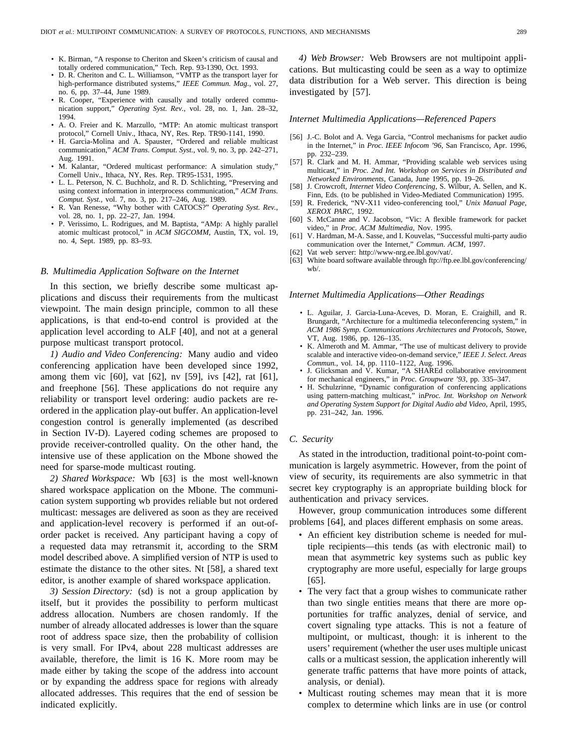- K. Birman, "A response to Cheriton and Skeen's criticism of causal and totally ordered communication," Tech. Rep. 93-1390, Oct. 1993.
- D. R. Cheriton and C. L. Williamson, "VMTP as the transport layer for high-performance distributed systems," *IEEE Commun. Mag.,* vol. 27, no. 6, pp. 37–44, June 1989.
- R. Cooper, "Experience with causally and totally ordered communication support," *Operating Syst. Rev.*, vol. 28, no. 1, Jan. 28–32, 1994.
- A. O. Freier and K. Marzullo, "MTP: An atomic multicast transport protocol," Cornell Univ., Ithaca, NY, Res. Rep. TR90-1141, 1990.
- H. Garcia-Molina and A. Spauster, "Ordered and reliable multicast communication," *ACM Trans. Comput. Syst.,* vol. 9, no. 3, pp. 242–271, Aug. 1991.
- M. Kalantar, "Ordered multicast performance: A simulation study," Cornell Univ., Ithaca, NY, Res. Rep. TR95-1531, 1995.
- L. L. Peterson, N. C. Buchholz, and R. D. Schlichting, "Preserving and using context information in interprocess communication," *ACM Trans. Comput. Syst.,* vol. 7, no. 3, pp. 217–246, Aug. 1989.
- R. Van Renesse, "Why bother with CATOCS?" *Operating Syst. Rev.*, vol. 28, no. 1, pp. 22–27, Jan. 1994.
- P. Verissimo, L. Rodrigues, and M. Baptista, "AMp: A highly parallel atomic multicast protocol," in *ACM SIGCOMM,* Austin, TX, vol. 19, no. 4, Sept. 1989, pp. 83–93.

#### *B. Multimedia Application Software on the Internet*

In this section, we briefly describe some multicast applications and discuss their requirements from the multicast viewpoint. The main design principle, common to all these applications, is that end-to-end control is provided at the application level according to ALF [40], and not at a general purpose multicast transport protocol.

*1) Audio and Video Conferencing:* Many audio and video conferencing application have been developed since 1992, among them vic [60], vat [62], nv [59], ivs [42], rat [61], and freephone [56]. These applications do not require any reliability or transport level ordering: audio packets are reordered in the application play-out buffer. An application-level congestion control is generally implemented (as described in Section IV-D). Layered coding schemes are proposed to provide receiver-controlled quality. On the other hand, the intensive use of these application on the Mbone showed the need for sparse-mode multicast routing.

*2) Shared Workspace:* Wb [63] is the most well-known shared workspace application on the Mbone. The communication system supporting wb provides reliable but not ordered multicast: messages are delivered as soon as they are received and application-level recovery is performed if an out-oforder packet is received. Any participant having a copy of a requested data may retransmit it, according to the SRM model described above. A simplified version of NTP is used to estimate the distance to the other sites. Nt [58], a shared text editor, is another example of shared workspace application.

*3) Session Directory:* (sd) is not a group application by itself, but it provides the possibility to perform multicast address allocation. Numbers are chosen randomly. If the number of already allocated addresses is lower than the square root of address space size, then the probability of collision is very small. For IPv4, about 228 multicast addresses are available, therefore, the limit is 16 K. More room may be made either by taking the scope of the address into account or by expanding the address space for regions with already allocated addresses. This requires that the end of session be indicated explicitly.

*4) Web Browser:* Web Browsers are not multipoint applications. But multicasting could be seen as a way to optimize data distribution for a Web server. This direction is being investigated by [57].

#### *Internet Multimedia Applications—Referenced Papers*

- [56] J.-C. Bolot and A. Vega Garcia, "Control mechanisms for packet audio in the Internet," in *Proc. IEEE Infocom '96,* San Francisco, Apr. 1996, pp. 232–239.
- [57] R. Clark and M. H. Ammar, "Providing scalable web services using multicast," in *Proc. 2nd Int. Workshop on Services in Distributed and Networked Environments,* Canada, June 1995, pp. 19–26.
- [58] J. Crowcroft, *Internet Video Conferencing,* S. Wilbur, A. Sellen, and K. Finn, Eds. (to be published in Video-Mediated Communication) 1995.
- [59] R. Frederick, "NV-X11 video-conferencing tool," *Unix Manual Page, XEROX PARC,* 1992.
- [60] S. McCanne and V. Jacobson, "Vic: A flexible framework for packet video," in *Proc. ACM Multimedia,* Nov. 1995.
- [61] V. Hardman, M-A. Sasse, and I. Kouvelas, "Successful multi-party audio communication over the Internet," *Commun. ACM,* 1997.
- [62] Vat web server: http://www-nrg.ee.lbl.gov/vat/.
- [63] White board software available through ftp://ftp.ee.lbl.gov/conferencing/ wb/.

# *Internet Multimedia Applications—Other Readings*

- L. Aguilar, J. Garcia-Luna-Aceves, D. Moran, E. Craighill, and R. Brungardt, "Architecture for a multimedia teleconferencing system," in *ACM 1986 Symp. Communications Architectures and Protocols,* Stowe, VT, Aug. 1986, pp. 126–135.
- K. Almeroth and M. Ammar, "The use of multicast delivery to provide scalable and interactive video-on-demand service," *IEEE J. Select. Areas Commun.*, vol. 14, pp. 1110–1122, Aug. 1996.
- J. Glicksman and V. Kumar, "A SHAREd collaborative environment for mechanical engineers," in *Proc. Groupware '93,* pp. 335–347.
- H. Schulzrinne, "Dynamic configuration of conferencing applications using pattern-matching multicast," in*Proc. Int. Workshop on Network and Operating System Support for Digital Audio abd Video*, April, 1995, pp. 231–242, Jan. 1996.

#### *C. Security*

As stated in the introduction, traditional point-to-point communication is largely asymmetric. However, from the point of view of security, its requirements are also symmetric in that secret key cryptography is an appropriate building block for authentication and privacy services.

However, group communication introduces some different problems [64], and places different emphasis on some areas.

- An efficient key distribution scheme is needed for multiple recipients—this tends (as with electronic mail) to mean that asymmetric key systems such as public key cryptography are more useful, especially for large groups [65].
- The very fact that a group wishes to communicate rather than two single entities means that there are more opportunities for traffic analyzes, denial of service, and covert signaling type attacks. This is not a feature of multipoint, or multicast, though: it is inherent to the users' requirement (whether the user uses multiple unicast calls or a multicast session, the application inherently will generate traffic patterns that have more points of attack, analysis, or denial).
- Multicast routing schemes may mean that it is more complex to determine which links are in use (or control